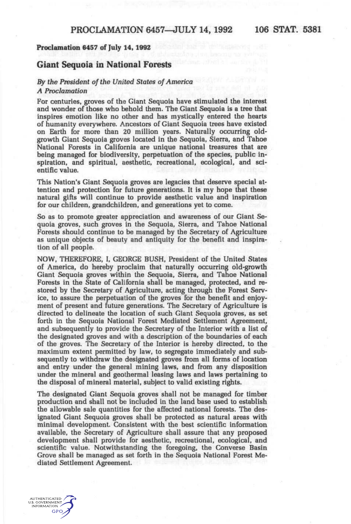# **Proclamation 6457 of July 14,1992**

# **Giant Sequoia in National Forests**

# *By the President of the United states of America A Proclamation*

For centuries, groves of the Giant Sequoia have stimulated the interest and wonder of those who behold them. The Giant Sequoia is a tree that inspires emotion like no other and has mystically entered the hearts of humanity everywhere. Ancestors of Giant Sequoia trees have existed on Earth for more than 20 million years. Naturally occurring oldgrowth Giant Sequoia groves located in the Sequoia, Sierra, and Tahoe National Forests in California are unique national treasures that are being managed for biodiversity, perpetuation of the species, public inspiration, and spiritual, aesthetic, recreational, ecological, and scientific value.

This Nation's Giant Sequoia groves are legacies that deserve special attention and protection for future generations. It is my hope that these natural gifts will continue to provide aesthetic value and inspiration for our children, grandchildren, and generations yet to come.

So as to promote greater appreciation and awareness of our Giant Sequoia groves, such groves in the Sequoia, Sierra, and Tahoe National Forests should continue to be managed by the Secretary of Agriculture as unique objects of beauty and antiquity for the benefit and inspiration of all people.

NOW, THEREFORE, I, GEORGE BUSH. President of the United States of America, do hereby proclaim that naturally occurring old-growth Giant Sequoia groves within the Sequoia, Sierra, and Tahoe National Forests in the State of California shall be managed, protected, and restored by the Secretary of Agriculture, acting through the Forest Service, to assure the perpetuation of the groves for the benefit and enjoyment of present and future generations. The Secretary of Agriculture is directed to delineate the location of such Giant Sequoia groves, as set forth in the Sequoia National Forest Mediated Settlement Agreement, and subsequently to provide the Secretary of the Interior with a list of the designated groves and with a description of the boundaries of each of the groves. The Secretary of the Interior is hereby directed, to the maximum extent permitted by law, to segregate immediately and subsequently to withdraw the designated groves from all forms of location and entry under the general mining laws, and from any disposition under the mineral and geothermal leasing laws and laws pertaining to the disposal of mineral material, subject to valid existing rights.

The designated Giant Sequoia groves shall not be managed for timber production and shall not be included in the land base used to establish the allowable sale quantities for the affected national forests. The designated Giant Sequoia groves shall be protected as natural areas with minimal development. Consistent with the best scientific information available, the Secretary of Agriculture shall assure that any proposed development shall provide for aesthetic, recreational, ecological, and scientific value. Notwithstanding the foregoing, the Converse Basin Grove shall be managed as set forth in the Sequoia National Forest Mediated Settlement Agreement.